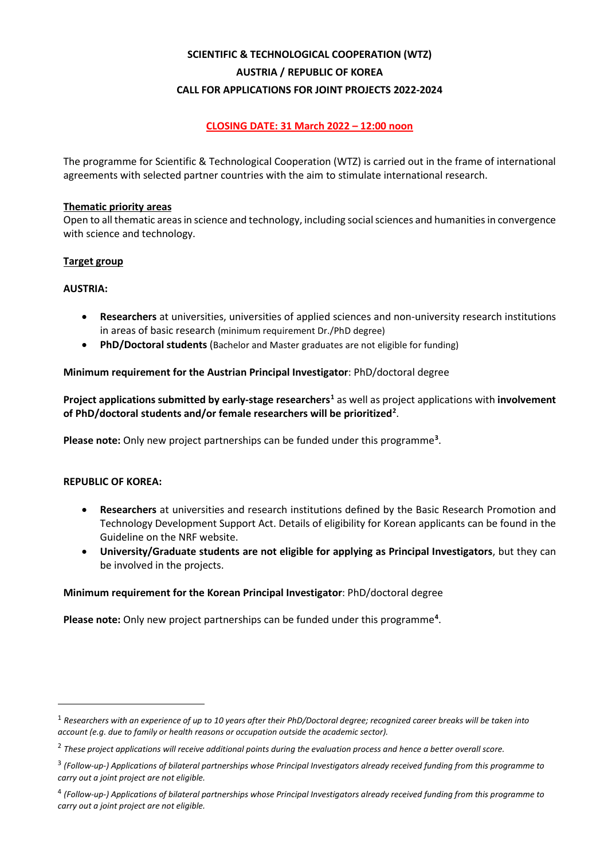# **SCIENTIFIC & TECHNOLOGICAL COOPERATION (WTZ) AUSTRIA / REPUBLIC OF KOREA CALL FOR APPLICATIONS FOR JOINT PROJECTS 2022-2024**

# **CLOSING DATE: 31 March 2022 – 12:00 noon**

The programme for Scientific & Technological Cooperation (WTZ) is carried out in the frame of international agreements with selected partner countries with the aim to stimulate international research.

## **Thematic priority areas**

Open to all thematic areas in science and technology, including social sciences and humanities in convergence with science and technology.

# **Target group**

# **AUSTRIA:**

- **Researchers** at universities, universities of applied sciences and non-university research institutions in areas of basic research (minimum requirement Dr./PhD degree)
- **PhD/Doctoral students** (Bachelor and Master graduates are not eligible for funding)

# **Minimum requirement for the Austrian Principal Investigator**: PhD/doctoral degree

**Project applications submitted by early-stage researchers[1](#page-0-0)** as well as project applications with **involvement of PhD/doctoral students and/or female researchers will be prioritized[2](#page-0-1)** .

**Please note:** Only new project partnerships can be funded under this programme**[3](#page-0-2)** .

## **REPUBLIC OF KOREA:**

- **Researchers** at universities and research institutions defined by the Basic Research Promotion and Technology Development Support Act. Details of eligibility for Korean applicants can be found in the Guideline on the NRF website.
- **University/Graduate students are not eligible for applying as Principal Investigators**, but they can be involved in the projects.

## **Minimum requirement for the Korean Principal Investigator**: PhD/doctoral degree

**Please note:** Only new project partnerships can be funded under this programme**[4](#page-0-3)** .

<span id="page-0-0"></span><sup>1</sup> *Researchers with an experience of up to 10 years after their PhD/Doctoral degree; recognized career breaks will be taken into account (e.g. due to family or health reasons or occupation outside the academic sector).*

<span id="page-0-1"></span><sup>2</sup> *These project applications will receive additional points during the evaluation process and hence a better overall score.*

<span id="page-0-2"></span><sup>3</sup> *(Follow-up-) Applications of bilateral partnerships whose Principal Investigators already received funding from this programme to carry out a joint project are not eligible.*

<span id="page-0-3"></span><sup>4</sup> *(Follow-up-) Applications of bilateral partnerships whose Principal Investigators already received funding from this programme to carry out a joint project are not eligible.*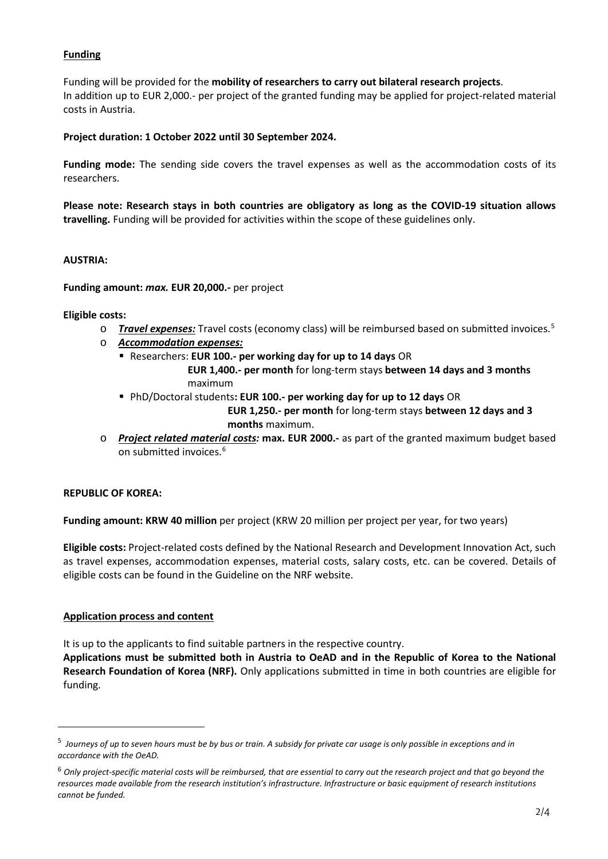# **Funding**

Funding will be provided for the **mobility of researchers to carry out bilateral research projects**. In addition up to EUR 2,000.- per project of the granted funding may be applied for project-related material costs in Austria.

# **Project duration: 1 October 2022 until 30 September 2024.**

**Funding mode:** The sending side covers the travel expenses as well as the accommodation costs of its researchers.

**Please note: Research stays in both countries are obligatory as long as the COVID-19 situation allows travelling.** Funding will be provided for activities within the scope of these guidelines only.

# **AUSTRIA:**

**Funding amount:** *max.* **EUR 20,000.-** per project

## **Eligible costs:**

- o *Travel expenses:* Travel costs (economy class) will be reimbursed based on submitted invoices.[5](#page-1-0)
- o *Accommodation expenses:*
	- Researchers: **EUR 100.- per working day for up to 14 days** OR

 **EUR 1,400.- per month** for long-term stays **between 14 days and 3 months** maximum

- PhD/Doctoral students**: EUR 100.- per working day for up to 12 days** OR  **EUR 1,250.- per month** for long-term stays **between 12 days and 3 months** maximum.
- o *Project related material costs:* **max. EUR 2000.-** as part of the granted maximum budget based on submitted invoices.<sup>[6](#page-1-1)</sup>

# **REPUBLIC OF KOREA:**

**Funding amount: KRW 40 million** per project (KRW 20 million per project per year, for two years)

**Eligible costs:** Project-related costs defined by the National Research and Development Innovation Act, such as travel expenses, accommodation expenses, material costs, salary costs, etc. can be covered. Details of eligible costs can be found in the Guideline on the NRF website.

# **Application process and content**

It is up to the applicants to find suitable partners in the respective country.

**Applications must be submitted both in Austria to OeAD and in the Republic of Korea to the National Research Foundation of Korea (NRF).** Only applications submitted in time in both countries are eligible for funding.

<span id="page-1-0"></span><sup>5</sup> *Journeys of up to seven hours must be by bus or train. A subsidy for private car usage is only possible in exceptions and in accordance with the OeAD.*

<span id="page-1-1"></span><sup>6</sup> *Only project-specific material costs will be reimbursed, that are essential to carry out the research project and that go beyond the resources made available from the research institution's infrastructure. Infrastructure or basic equipment of research institutions cannot be funded.*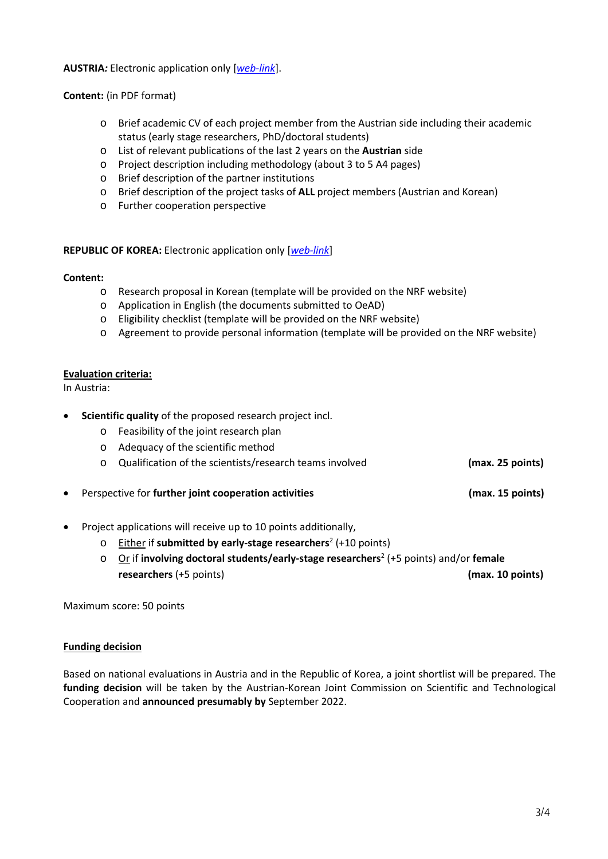**AUSTRIA***:* Electronic application only [*[web-link](https://asp.sop.co.at/oead/antrag?call=2022_KR)*].

**Content:** (in PDF format)

- o Brief academic CV of each project member from the Austrian side including their academic status (early stage researchers, PhD/doctoral students)
- o List of relevant publications of the last 2 years on the **Austrian** side
- o Project description including methodology (about 3 to 5 A4 pages)
- o Brief description of the partner institutions
- o Brief description of the project tasks of **ALL** project members (Austrian and Korean)
- o Further cooperation perspective

## **REPUBLIC OF KOREA:** Electronic application only [*[web-link](https://ernd.nrf.re.kr/index.do)*]

## **Content:**

- o Research proposal in Korean (template will be provided on the NRF website)
- o Application in English (the documents submitted to OeAD)
- o Eligibility checklist (template will be provided on the NRF website)
- o Agreement to provide personal information (template will be provided on the NRF website)

## **Evaluation criteria:**

In Austria:

- **Scientific quality** of the proposed research project incl.
	- o Feasibility of the joint research plan
	- o Adequacy of the scientific method
	- o Qualification of the scientists/research teams involved **(max. 25 points)**
- Perspective for **further joint cooperation activities (max. 15 points)**
- Project applications will receive up to 10 points additionally,
	- o Either if **submitted by early-stage researchers**<sup>2</sup> (+10 points)
	- o Or if **involving doctoral students/early-stage researchers**<sup>2</sup> (+5 points) and/or **female researchers** (+5 points) **(max. 10 points)**

Maximum score: 50 points

## **Funding decision**

Based on national evaluations in Austria and in the Republic of Korea, a joint shortlist will be prepared. The **funding decision** will be taken by the Austrian-Korean Joint Commission on Scientific and Technological Cooperation and **announced presumably by** September 2022.